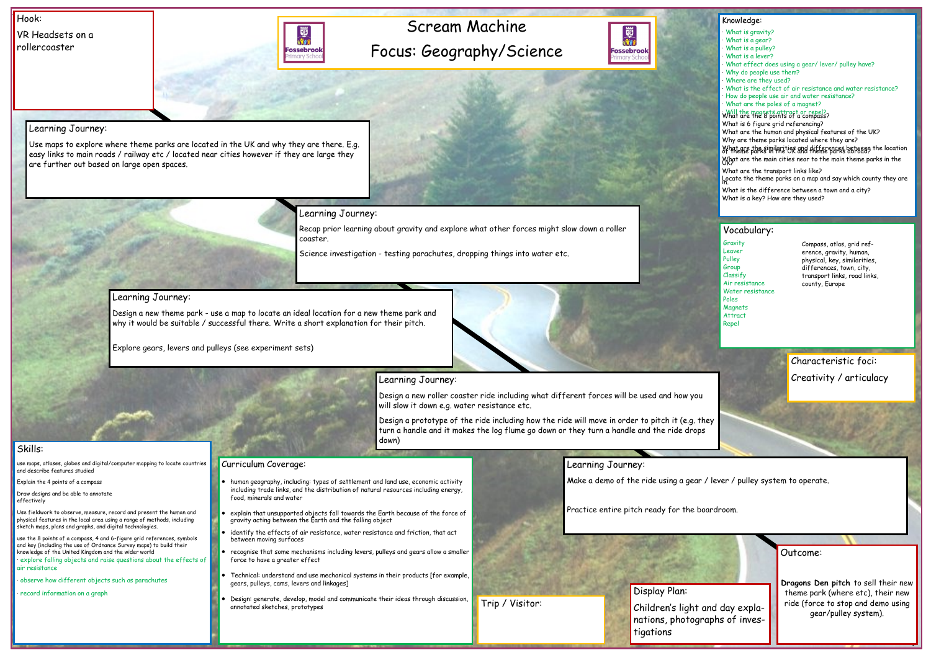## Scream Machine Focus: Geography/Science



Hook:

VR Headsets on a rollercoaster



Outcome: **Dragons Den pitch** to sell their new theme park (where etc), their new ride (force to stop and demo using gear/pulley system).

#### Knowledge:

- What is gravity?
- What is a gear?
- · What is a pulley?
- What is a lever?
- What effect does using a gear/ lever/ pulley have?
- Why do people use them?
- · Where are they used?
- · What is the effect of air resistance and water resistance?
- · How do people use air and water resistance?
- · What are the poles of a magnet?

#### what the magnets attract or repel?

What is 6 figure grid referencing? What are the human and physical features of the UK? Why are theme parks located where they are? What are the similarities and differences between the location

What are the main cities near to the main theme parks in the What are the transport links like?

Locate the theme parks on a map and say which county they are

What is the difference between a town and a city? What is a key? How are they used?

#### Skills:

use maps, atlases, globes and digital/computer mapping to locate countries and describe features studied

Explain the 4 points of a compass

Draw designs and be able to annotate effectively

Use fieldwork to observe, measure, record and present the human and physical features in the local area using a range of methods, including sketch maps, plans and graphs, and digital technologies.

use the 8 points of a compass, 4 and 6-figure grid references, symbols and key (including the use of Ordnance Survey maps) to build their knowledge of the United Kingdom and the wider world · explore falling objects and raise questions about the effects of air resistance

· observe how different objects such as parachutes

· record information on a graph

### Learning Journey:

**Gravity** Leaver Pulley Group Classify Air resistance Water resistance Poles **Magnets** Attract Repel

Use maps to explore where theme parks are located in the UK and why they are there. E.g. easy links to main roads / railway etc / located near cities however if they are large they are further out based on large open spaces.

Learning Journey:

Recap prior learning about gravity and explore what other forces might slow down a roller coaster.

Science investigation - testing parachutes, dropping things into water etc.

### Learning Journey:

Design a new theme park - use a map to locate an ideal location for a new theme park and why it would be suitable / successful there. Write a short explanation for their pitch.

Explore gears, levers and pulleys (see experiment sets)



## Learning Journey:

Design a new roller coaster ride including what different forces will be used and how you will slow it down e.g. water resistance etc.

Design a prototype of the ride including how the ride will move in order to pitch it (e.g. they turn a handle and it makes the log flume go down or they turn a handle and the ride drops down)

Learning Journey:

Make a demo of the ride using a gear / lever / pulley system to operate.

Practice entire pitch ready for the boardroom.

#### Curriculum Coverage:

- human geography, including: types of settlement and land use, economic activity including trade links, and the distribution of natural resources including energy, food, minerals and water
- explain that unsupported objects fall towards the Earth because of the force of gravity acting between the Earth and the falling object
- identify the effects of air resistance, water resistance and friction, that act between moving surfaces
- recognise that some mechanisms including levers, pulleys and gears allow a smaller force to have a greater effect
- Technical: understand and use mechanical systems in their products [for example, gears, pulleys, cams, levers and linkages]
- Design: generate, develop, model and communicate their ideas through discussion, annotated sketches, prototypes

#### Vocabulary:

Display Plan: Children's light and day explanations, photographs of investigations



Characteristic foci: Creativity / articulacy

Compass, atlas, grid reference, gravity, human, physical, key, similarities, differences, town, city, transport links, road links, county, Europe